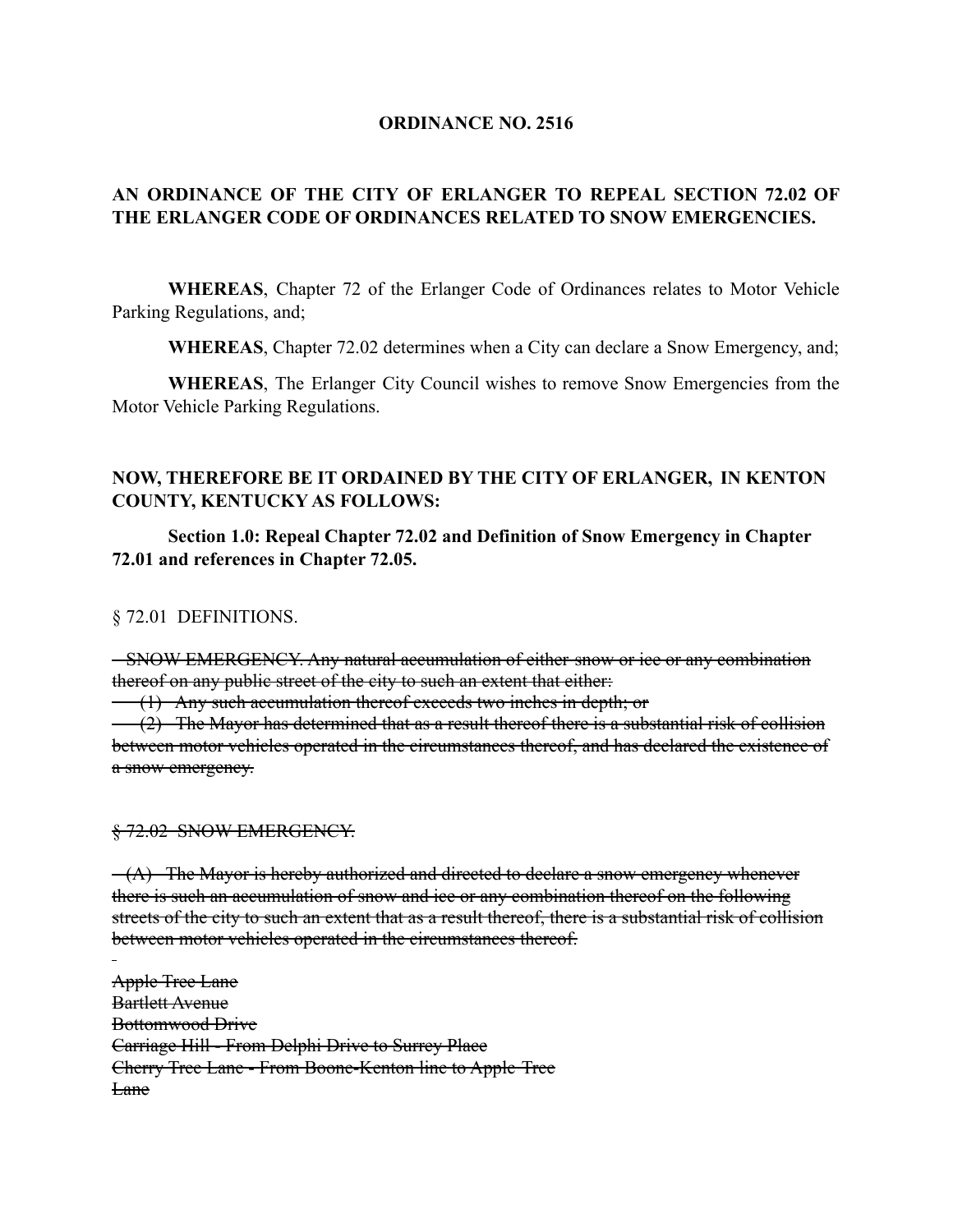## **ORDINANCE NO. 2516**

# **AN ORDINANCE OF THE CITY OF ERLANGER TO REPEAL SECTION 72.02 OF THE ERLANGER CODE OF ORDINANCES RELATED TO SNOW EMERGENCIES.**

**WHEREAS**, Chapter 72 of the Erlanger Code of Ordinances relates to Motor Vehicle Parking Regulations, and;

**WHEREAS**, Chapter 72.02 determines when a City can declare a Snow Emergency, and;

**WHEREAS**, The Erlanger City Council wishes to remove Snow Emergencies from the Motor Vehicle Parking Regulations.

## **NOW, THEREFORE BE IT ORDAINED BY THE CITY OF ERLANGER, IN KENTON COUNTY, KENTUCKY AS FOLLOWS:**

**Section 1.0: Repeal Chapter 72.02 and Definition of Snow Emergency in Chapter 72.01 and references in Chapter 72.05.**

§ 72.01 DEFINITIONS.

SNOW EMERGENCY. Any natural accumulation of either snow or ice or any combination thereof on any public street of the city to such an extent that either:

 $\left\langle \right\langle 1 \right\rangle$  Any such accumulation thereof exceeds two inches in depth; or

(2) The Mayor has determined that as a result thereof there is a substantial risk of collision between motor vehicles operated in the circumstances thereof, and has declared the existence of a snow emergency.

#### $$72.02$  SNOW EMERGENCY.

 $-(A)$  The Mayor is hereby authorized and directed to declare a snow emergency whenever there is such an accumulation of snow and ice or any combination thereof on the following streets of the city to such an extent that as a result thereof, there is a substantial risk of collision between motor vehicles operated in the circumstances thereof.

Apple Tree Lane Bartlett Avenue Bottomwood Drive Carriage Hill - From Delphi Drive to Surrey Place Cherry Tree Lane - From Boone-Kenton line to Apple Tree Lane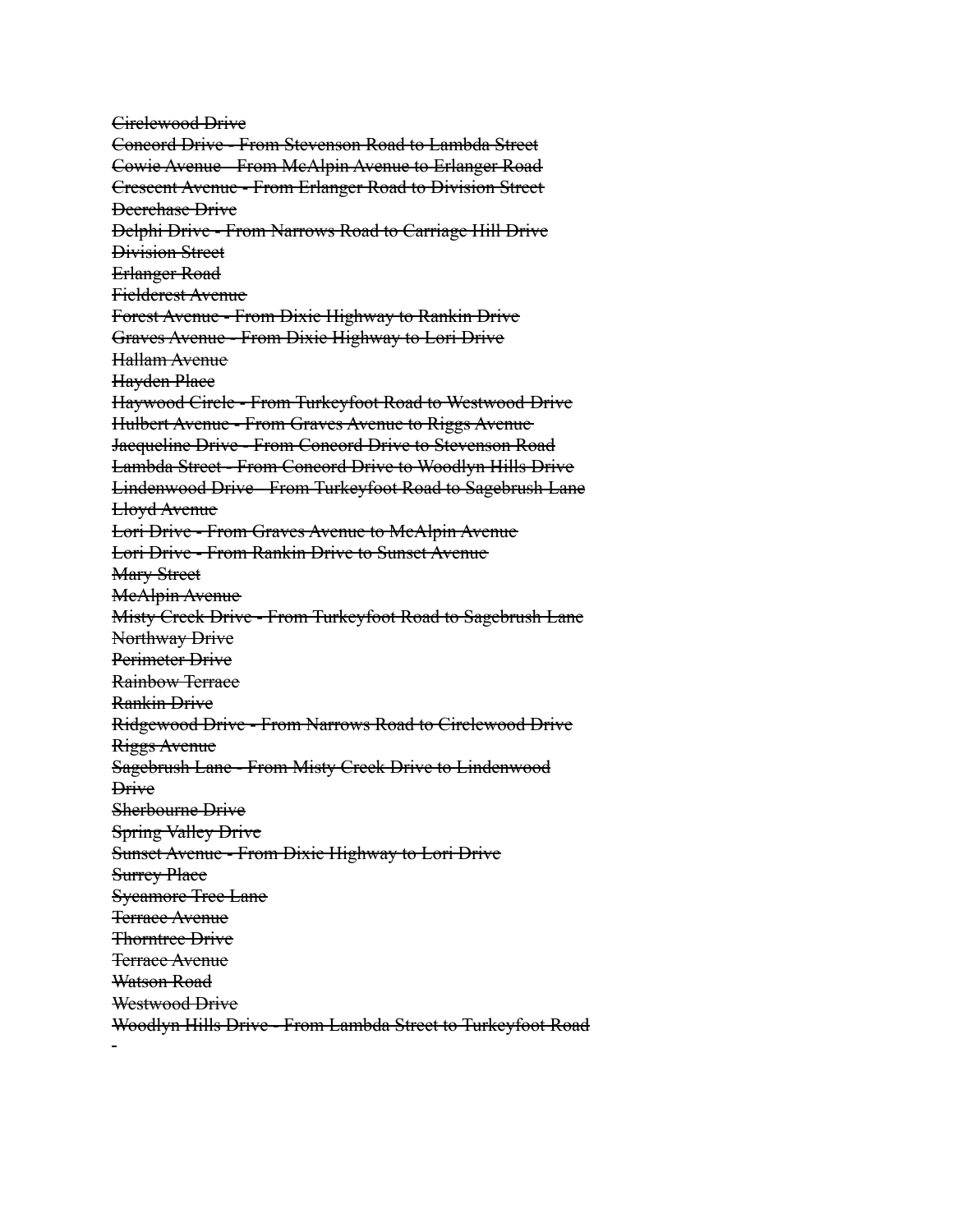Circlewood Drive Concord Drive - From Stevenson Road to Lambda Street Cowie Avenue - From McAlpin Avenue to Erlanger Road Crescent Avenue - From Erlanger Road to Division Street Deerchase Drive Delphi Drive - From Narrows Road to Carriage Hill Drive Division Street Erlanger Road Fieldcrest Avenue Forest Avenue - From Dixie Highway to Rankin Drive Graves Avenue - From Dixie Highway to Lori Drive Hallam Avenue Hayden Place Haywood Circle - From Turkeyfoot Road to Westwood Drive Hulbert Avenue - From Graves Avenue to Riggs Avenue Jacqueline Drive - From Concord Drive to Stevenson Road Lambda Street - From Concord Drive to Woodlyn Hills Drive Lindenwood Drive - From Turkeyfoot Road to Sagebrush Lane Lloyd Avenue Lori Drive - From Graves Avenue to McAlpin Avenue Lori Drive - From Rankin Drive to Sunset Avenue Mary Street MeAlpin Avenue Misty Creek Drive - From Turkeyfoot Road to Sagebrush Lane Northway Drive Perimeter Drive Rainbow Terrace Rankin Drive Ridgewood Drive - From Narrows Road to Circlewood Drive Riggs Avenue Sagebrush Lane - From Misty Creek Drive to Lindenwood **Drive** Sherbourne Drive Spring Valley Drive Sunset Avenue - From Dixie Highway to Lori Drive **Surrey Place** Sycamore Tree Lane Terrace Avenue Thorntree Drive Terrace Avenue Watson Road Westwood Drive Woodlyn Hills Drive - From Lambda Street to Turkeyfoot Road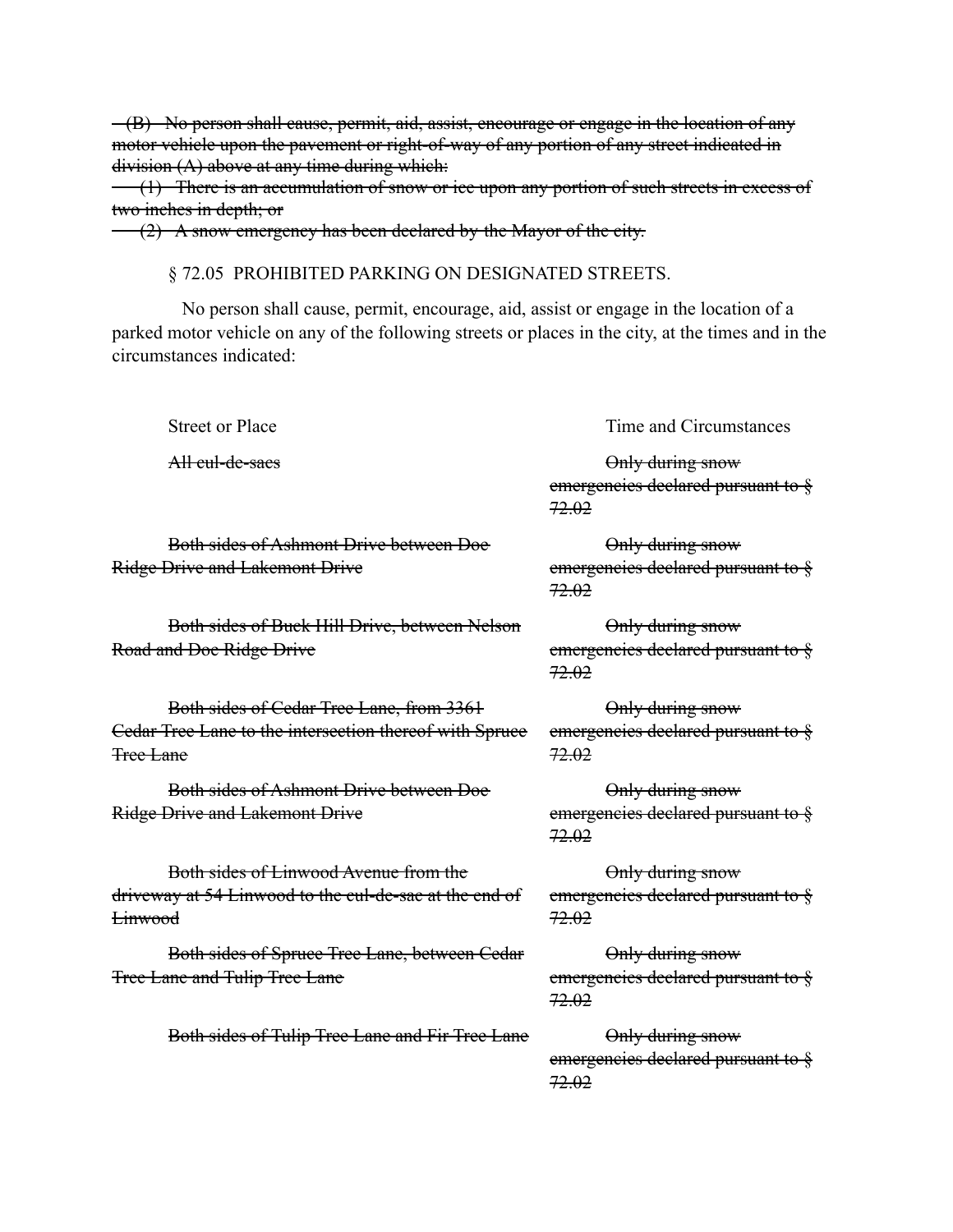(B) No person shall cause, permit, aid, assist, encourage or engage in the location of any motor vehicle upon the pavement or right-of-way of any portion of any street indicated in  $division (A) above at any time during which:$ 

(1) There is an accumulation of snow or ice upon any portion of such streets in excess of two inches in depth; or

 $(2)$  A snow emergency has been declared by the Mayor of the city.

§ 72.05 PROHIBITED PARKING ON DESIGNATED STREETS.

No person shall cause, permit, encourage, aid, assist or engage in the location of a parked motor vehicle on any of the following streets or places in the city, at the times and in the circumstances indicated:

Street or Place Time and Circumstances

All cul-de-sacs and contact the only during snow emergencies declared pursuant to  $\frac{8}{3}$ 72.02

Only during snow

Both sides of Ashmont Drive between Doe Ridge Drive and Lakemont Drive

Both sides of Buck Hill Drive, between Nelson Road and Doe Ridge Drive

Both sides of Cedar Tree Lane, from 3361 Cedar Tree Lane to the intersection thereof with Spruce Tree Lane

Both sides of Ashmont Drive between Doe Ridge Drive and Lakemont Drive

Both sides of Linwood Avenue from the driveway at 54 Linwood to the cul-de-sac at the end of Linwood

Both sides of Spruce Tree Lane, between Cedar Tree Lane and Tulip Tree Lane

Both sides of Tulip Tree Lane and Fir Tree Lane Only during snow

emergencies declared pursuant to § 72.02

Only during snow emergencies declared pursuant to § 72.02

Only during snow emergencies declared pursuant to § 72.02

Only during snow emergencies declared pursuant to § 72.02

Only during snow emergencies declared pursuant to  $\frac{6}{5}$ 72.02

Only during snow emergencies declared pursuant to § 72.02

emergencies declared pursuant to  $\frac{8}{3}$ 72.02